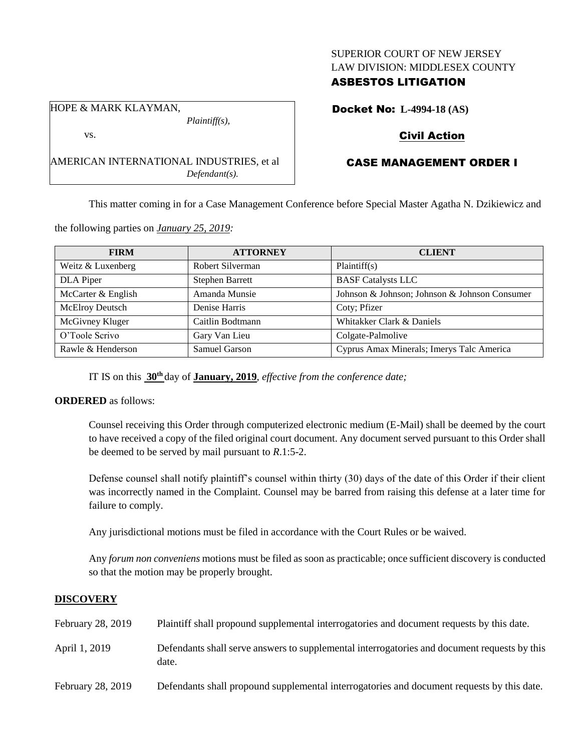## SUPERIOR COURT OF NEW JERSEY LAW DIVISION: MIDDLESEX COUNTY

## ASBESTOS LITIGATION

HOPE & MARK KLAYMAN, *Plaintiff(s),*

vs.

AMERICAN INTERNATIONAL INDUSTRIES, et al *Defendant(s).*

Docket No: **L-4994-18 (AS)**

# Civil Action

# CASE MANAGEMENT ORDER I

This matter coming in for a Case Management Conference before Special Master Agatha N. Dzikiewicz and

the following parties on *January 25, 2019:*

| <b>FIRM</b>        | <b>ATTORNEY</b>        | <b>CLIENT</b>                                 |
|--------------------|------------------------|-----------------------------------------------|
| Weitz & Luxenberg  | Robert Silverman       | Plaintiff(s)                                  |
| DLA Piper          | <b>Stephen Barrett</b> | <b>BASF Catalysts LLC</b>                     |
| McCarter & English | Amanda Munsie          | Johnson & Johnson; Johnson & Johnson Consumer |
| McElroy Deutsch    | Denise Harris          | Coty; Pfizer                                  |
| McGivney Kluger    | Caitlin Bodtmann       | Whitakker Clark & Daniels                     |
| O'Toole Scrivo     | Gary Van Lieu          | Colgate-Palmolive                             |
| Rawle & Henderson  | Samuel Garson          | Cyprus Amax Minerals; Imerys Talc America     |

IT IS on this **30th** day of **January, 2019**, *effective from the conference date;*

## **ORDERED** as follows:

Counsel receiving this Order through computerized electronic medium (E-Mail) shall be deemed by the court to have received a copy of the filed original court document. Any document served pursuant to this Order shall be deemed to be served by mail pursuant to *R*.1:5-2.

Defense counsel shall notify plaintiff's counsel within thirty (30) days of the date of this Order if their client was incorrectly named in the Complaint. Counsel may be barred from raising this defense at a later time for failure to comply.

Any jurisdictional motions must be filed in accordance with the Court Rules or be waived.

Any *forum non conveniens* motions must be filed as soon as practicable; once sufficient discovery is conducted so that the motion may be properly brought.

## **DISCOVERY**

| February 28, 2019 | Plaintiff shall propound supplemental interrogatories and document requests by this date.             |
|-------------------|-------------------------------------------------------------------------------------------------------|
| April 1, 2019     | Defendants shall serve answers to supplemental interrogatories and document requests by this<br>date. |
| February 28, 2019 | Defendants shall propound supplemental interrogatories and document requests by this date.            |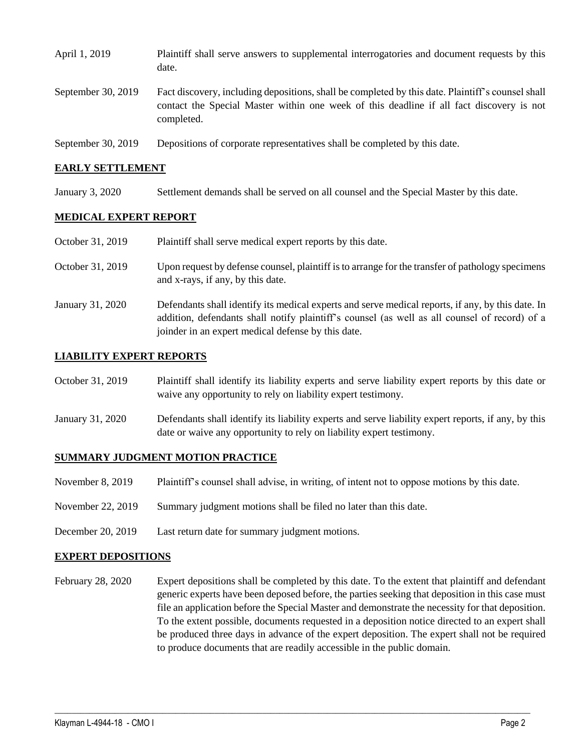| April 1, 2019      | Plaintiff shall serve answers to supplemental interrogatories and document requests by this<br>date.                                                                                                        |
|--------------------|-------------------------------------------------------------------------------------------------------------------------------------------------------------------------------------------------------------|
| September 30, 2019 | Fact discovery, including depositions, shall be completed by this date. Plaintiff's counsel shall<br>contact the Special Master within one week of this deadline if all fact discovery is not<br>completed. |
| September 30, 2019 | Depositions of corporate representatives shall be completed by this date.                                                                                                                                   |

#### **EARLY SETTLEMENT**

January 3, 2020 Settlement demands shall be served on all counsel and the Special Master by this date.

#### **MEDICAL EXPERT REPORT**

| October 31, 2019 | Plaintiff shall serve medical expert reports by this date.                                                                                                                                                                                               |
|------------------|----------------------------------------------------------------------------------------------------------------------------------------------------------------------------------------------------------------------------------------------------------|
| October 31, 2019 | Upon request by defense counsel, plaintiff is to arrange for the transfer of pathology specimens<br>and x-rays, if any, by this date.                                                                                                                    |
| January 31, 2020 | Defendants shall identify its medical experts and serve medical reports, if any, by this date. In<br>addition, defendants shall notify plaintiff's counsel (as well as all counsel of record) of a<br>joinder in an expert medical defense by this date. |

#### **LIABILITY EXPERT REPORTS**

| October 31, 2019 | Plaintiff shall identify its liability experts and serve liability expert reports by this date or |
|------------------|---------------------------------------------------------------------------------------------------|
|                  | waive any opportunity to rely on liability expert testimony.                                      |

January 31, 2020 Defendants shall identify its liability experts and serve liability expert reports, if any, by this date or waive any opportunity to rely on liability expert testimony.

#### **SUMMARY JUDGMENT MOTION PRACTICE**

- November 8, 2019 Plaintiff's counsel shall advise, in writing, of intent not to oppose motions by this date.
- November 22, 2019 Summary judgment motions shall be filed no later than this date.
- December 20, 2019 Last return date for summary judgment motions.

#### **EXPERT DEPOSITIONS**

February 28, 2020 Expert depositions shall be completed by this date. To the extent that plaintiff and defendant generic experts have been deposed before, the parties seeking that deposition in this case must file an application before the Special Master and demonstrate the necessity for that deposition. To the extent possible, documents requested in a deposition notice directed to an expert shall be produced three days in advance of the expert deposition. The expert shall not be required to produce documents that are readily accessible in the public domain.

 $\_$  ,  $\_$  ,  $\_$  ,  $\_$  ,  $\_$  ,  $\_$  ,  $\_$  ,  $\_$  ,  $\_$  ,  $\_$  ,  $\_$  ,  $\_$  ,  $\_$  ,  $\_$  ,  $\_$  ,  $\_$  ,  $\_$  ,  $\_$  ,  $\_$  ,  $\_$  ,  $\_$  ,  $\_$  ,  $\_$  ,  $\_$  ,  $\_$  ,  $\_$  ,  $\_$  ,  $\_$  ,  $\_$  ,  $\_$  ,  $\_$  ,  $\_$  ,  $\_$  ,  $\_$  ,  $\_$  ,  $\_$  ,  $\_$  ,